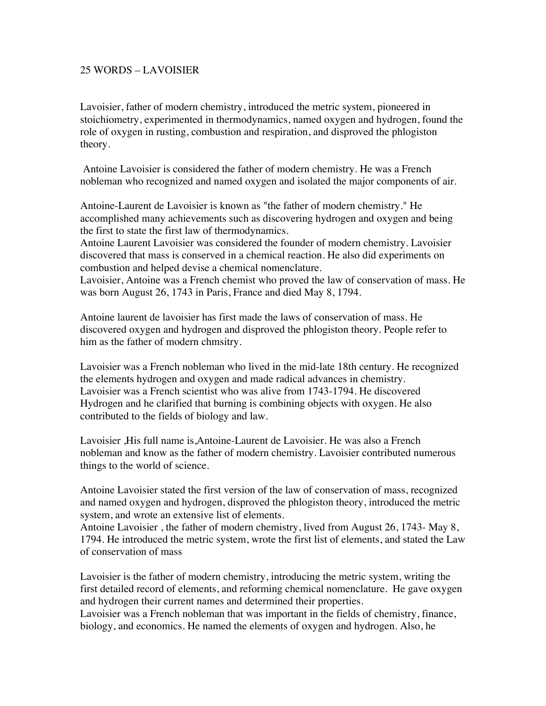## 25 WORDS – LAVOISIER

Lavoisier, father of modern chemistry, introduced the metric system, pioneered in stoichiometry, experimented in thermodynamics, named oxygen and hydrogen, found the role of oxygen in rusting, combustion and respiration, and disproved the phlogiston theory.

 Antoine Lavoisier is considered the father of modern chemistry. He was a French nobleman who recognized and named oxygen and isolated the major components of air.

Antoine-Laurent de Lavoisier is known as "the father of modern chemistry." He accomplished many achievements such as discovering hydrogen and oxygen and being the first to state the first law of thermodynamics.

Antoine Laurent Lavoisier was considered the founder of modern chemistry. Lavoisier discovered that mass is conserved in a chemical reaction. He also did experiments on combustion and helped devise a chemical nomenclature.

Lavoisier, Antoine was a French chemist who proved the law of conservation of mass. He was born August 26, 1743 in Paris, France and died May 8, 1794.

Antoine laurent de lavoisier has first made the laws of conservation of mass. He discovered oxygen and hydrogen and disproved the phlogiston theory. People refer to him as the father of modern chmsitry.

Lavoisier was a French nobleman who lived in the mid-late 18th century. He recognized the elements hydrogen and oxygen and made radical advances in chemistry. Lavoisier was a French scientist who was alive from 1743-1794. He discovered Hydrogen and he clarified that burning is combining objects with oxygen. He also contributed to the fields of biology and law.

Lavoisier ,His full name is,Antoine-Laurent de Lavoisier. He was also a French nobleman and know as the father of modern chemistry. Lavoisier contributed numerous things to the world of science.

Antoine Lavoisier stated the first version of the law of conservation of mass, recognized and named oxygen and hydrogen, disproved the phlogiston theory, introduced the metric system, and wrote an extensive list of elements.

Antoine Lavoisier , the father of modern chemistry, lived from August 26, 1743- May 8, 1794. He introduced the metric system, wrote the first list of elements, and stated the Law of conservation of mass

Lavoisier is the father of modern chemistry, introducing the metric system, writing the first detailed record of elements, and reforming chemical nomenclature. He gave oxygen and hydrogen their current names and determined their properties.

Lavoisier was a French nobleman that was important in the fields of chemistry, finance, biology, and economics. He named the elements of oxygen and hydrogen. Also, he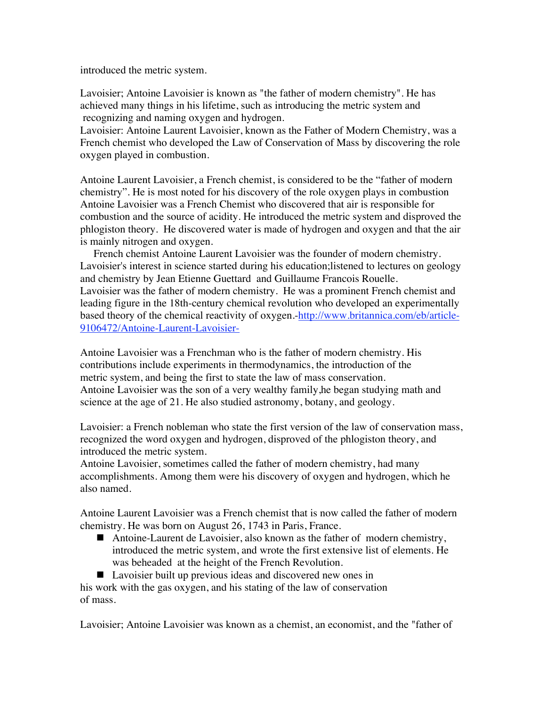introduced the metric system.

Lavoisier; Antoine Lavoisier is known as "the father of modern chemistry". He has achieved many things in his lifetime, such as introducing the metric system and recognizing and naming oxygen and hydrogen.

Lavoisier: Antoine Laurent Lavoisier, known as the Father of Modern Chemistry, was a French chemist who developed the Law of Conservation of Mass by discovering the role oxygen played in combustion.

Antoine Laurent Lavoisier, a French chemist, is considered to be the "father of modern chemistry". He is most noted for his discovery of the role oxygen plays in combustion Antoine Lavoisier was a French Chemist who discovered that air is responsible for combustion and the source of acidity. He introduced the metric system and disproved the phlogiston theory. He discovered water is made of hydrogen and oxygen and that the air is mainly nitrogen and oxygen.

 French chemist Antoine Laurent Lavoisier was the founder of modern chemistry. Lavoisier's interest in science started during his education;listened to lectures on geology and chemistry by Jean Etienne Guettard and Guillaume Francois Rouelle. Lavoisier was the father of modern chemistry. He was a prominent French chemist and leading figure in the 18th-century chemical revolution who developed an experimentally based theory of the chemical reactivity of oxygen.-http://www.britannica.com/eb/article-9106472/Antoine-Laurent-Lavoisier-

Antoine Lavoisier was a Frenchman who is the father of modern chemistry. His contributions include experiments in thermodynamics, the introduction of the metric system, and being the first to state the law of mass conservation. Antoine Lavoisier was the son of a very wealthy family,he began studying math and science at the age of 21. He also studied astronomy, botany, and geology.

Lavoisier: a French nobleman who state the first version of the law of conservation mass, recognized the word oxygen and hydrogen, disproved of the phlogiston theory, and introduced the metric system.

Antoine Lavoisier, sometimes called the father of modern chemistry, had many accomplishments. Among them were his discovery of oxygen and hydrogen, which he also named.

Antoine Laurent Lavoisier was a French chemist that is now called the father of modern chemistry. He was born on August 26, 1743 in Paris, France.

■ Antoine-Laurent de Lavoisier, also known as the father of modern chemistry, introduced the metric system, and wrote the first extensive list of elements. He was beheaded at the height of the French Revolution.

■ Lavoisier built up previous ideas and discovered new ones in

his work with the gas oxygen, and his stating of the law of conservation of mass.

Lavoisier; Antoine Lavoisier was known as a chemist, an economist, and the "father of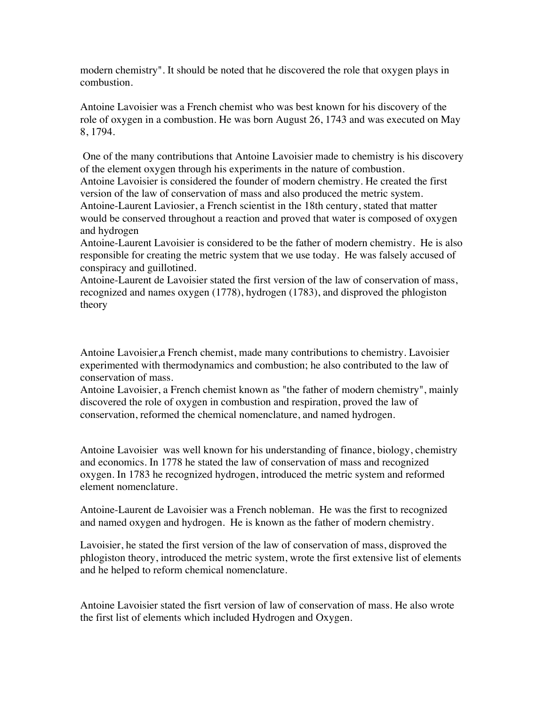modern chemistry". It should be noted that he discovered the role that oxygen plays in combustion.

Antoine Lavoisier was a French chemist who was best known for his discovery of the role of oxygen in a combustion. He was born August 26, 1743 and was executed on May 8, 1794.

 One of the many contributions that Antoine Lavoisier made to chemistry is his discovery of the element oxygen through his experiments in the nature of combustion. Antoine Lavoisier is considered the founder of modern chemistry. He created the first version of the law of conservation of mass and also produced the metric system. Antoine-Laurent Laviosier, a French scientist in the 18th century, stated that matter would be conserved throughout a reaction and proved that water is composed of oxygen and hydrogen

Antoine-Laurent Lavoisier is considered to be the father of modern chemistry. He is also responsible for creating the metric system that we use today. He was falsely accused of conspiracy and guillotined.

Antoine-Laurent de Lavoisier stated the first version of the law of conservation of mass, recognized and names oxygen (1778), hydrogen (1783), and disproved the phlogiston theory

Antoine Lavoisier,a French chemist, made many contributions to chemistry. Lavoisier experimented with thermodynamics and combustion; he also contributed to the law of conservation of mass.

Antoine Lavoisier, a French chemist known as "the father of modern chemistry", mainly discovered the role of oxygen in combustion and respiration, proved the law of conservation, reformed the chemical nomenclature, and named hydrogen.

Antoine Lavoisier was well known for his understanding of finance, biology, chemistry and economics. In 1778 he stated the law of conservation of mass and recognized oxygen. In 1783 he recognized hydrogen, introduced the metric system and reformed element nomenclature.

Antoine-Laurent de Lavoisier was a French nobleman. He was the first to recognized and named oxygen and hydrogen. He is known as the father of modern chemistry.

Lavoisier, he stated the first version of the law of conservation of mass, disproved the phlogiston theory, introduced the metric system, wrote the first extensive list of elements and he helped to reform chemical nomenclature.

Antoine Lavoisier stated the fisrt version of law of conservation of mass. He also wrote the first list of elements which included Hydrogen and Oxygen.